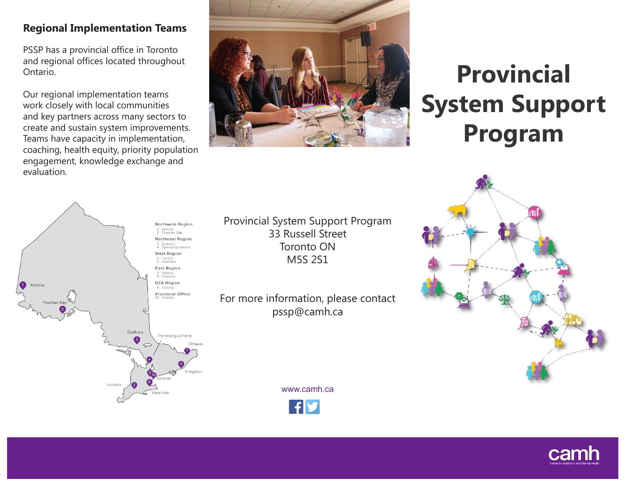## **Regional Implementation Teams**

PSSP has a provincial office in Toronto and regional offices located throughout Ontario.

Our regional implementation teams work closely with local communities and key partners across many sectors to create and sustain system improvements. Teams have capacity in implementation, coaching, health equity, priority population engagement, knowledge exchange and evaluation.



# **Provincial System Support Program**



Provincial System Support Program 33 Russell Street Toronto ON M5S 2S1

For more information, please contact pssp@camh.ca

www.camh.ca